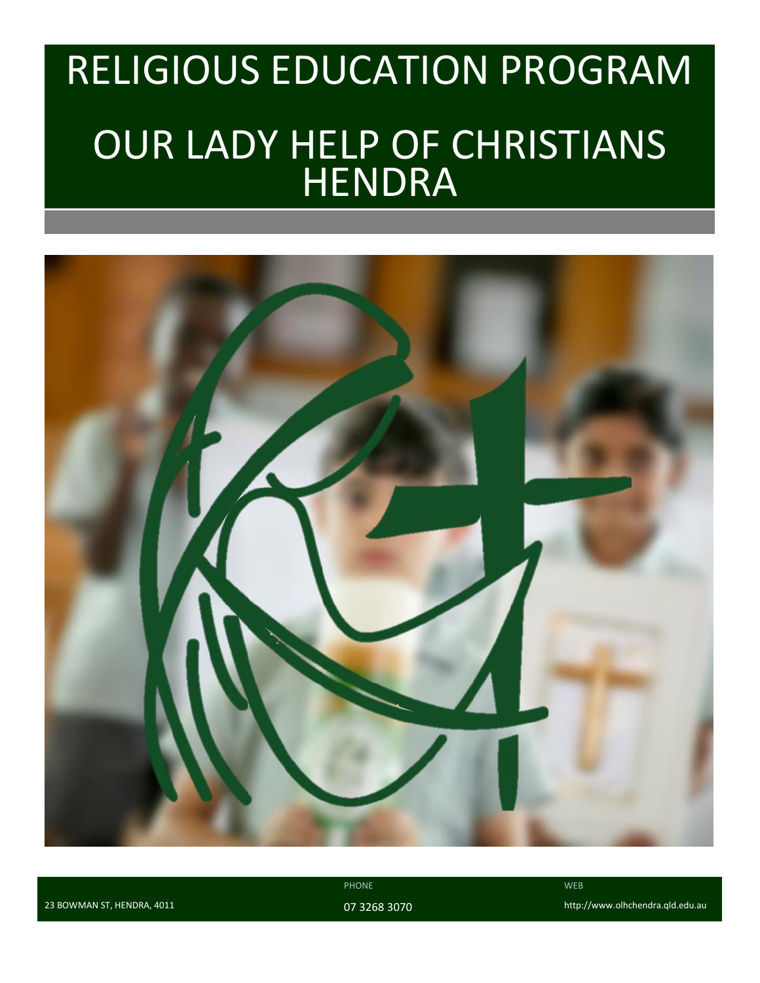# RELIGIOUS EDUCATION PROGRAM OUR LADY HELP OF CHRISTIANS **HENDRA**



PHONE WEBSINE WEBSINE WEBSINE WEBSINE WEBSINE WEBSINE WEBSINE WEBSINE WEBSINE WEBSINE WEBSINE

23 BOWMAN ST, HENDRA, 4011 07 3268 3070 http://www.olhchendra.qld.edu.au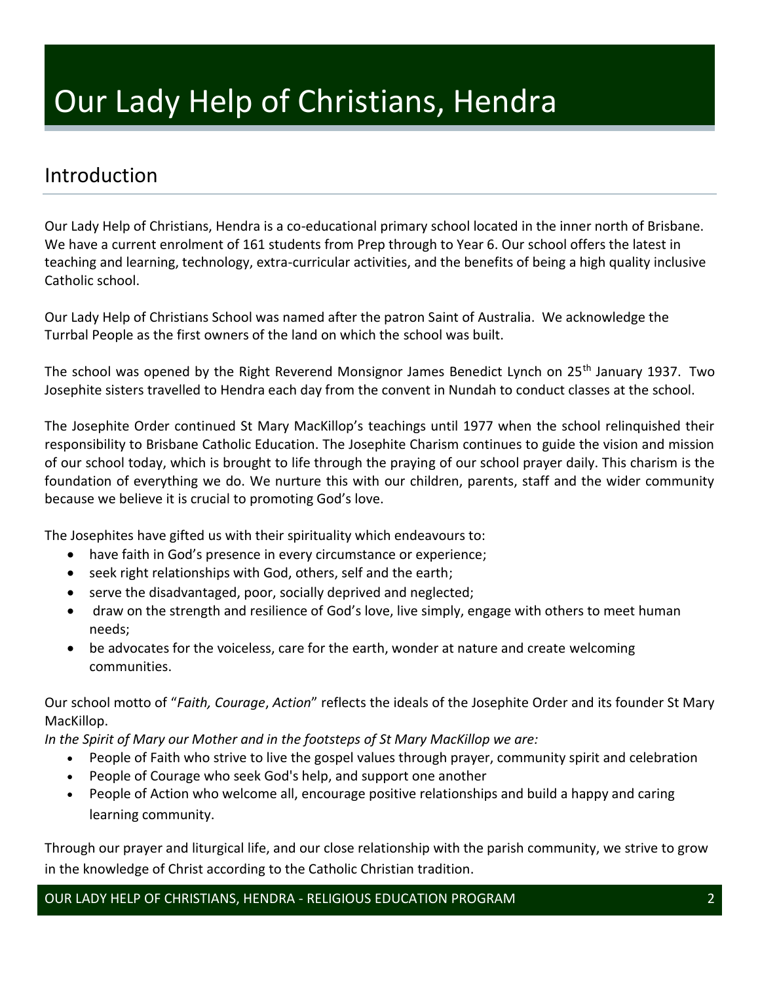### Introduction

Our Lady Help of Christians, Hendra is a co-educational primary school located in the inner north of Brisbane. We have a current enrolment of 161 students from Prep through to Year 6. Our school offers the latest in teaching and learning, technology, extra-curricular activities, and the benefits of being a high quality inclusive Catholic school.

Our Lady Help of Christians School was named after the patron Saint of Australia. We acknowledge the Turrbal People as the first owners of the land on which the school was built.

The school was opened by the Right Reverend Monsignor James Benedict Lynch on 25<sup>th</sup> January 1937. Two Josephite sisters travelled to Hendra each day from the convent in Nundah to conduct classes at the school.

The Josephite Order continued St Mary MacKillop's teachings until 1977 when the school relinquished their responsibility to Brisbane Catholic Education. The Josephite Charism continues to guide the vision and mission of our school today, which is brought to life through the praying of our school prayer daily. This charism is the foundation of everything we do. We nurture this with our children, parents, staff and the wider community because we believe it is crucial to promoting God's love.

The Josephites have gifted us with their spirituality which endeavours to:

- have faith in God's presence in every circumstance or experience;
- seek right relationships with God, others, self and the earth;
- serve the disadvantaged, poor, socially deprived and neglected;
- draw on the strength and resilience of God's love, live simply, engage with others to meet human needs;
- be advocates for the voiceless, care for the earth, wonder at nature and create welcoming communities.

Our school motto of "*Faith, Courage*, *Action*" reflects the ideals of the Josephite Order and its founder St Mary MacKillop.

*In the Spirit of Mary our Mother and in the footsteps of St Mary MacKillop we are:*

- People of Faith who strive to live the gospel values through prayer, community spirit and celebration
- People of Courage who seek God's help, and support one another
- People of Action who welcome all, encourage positive relationships and build a happy and caring learning community.

Through our prayer and liturgical life, and our close relationship with the parish community, we strive to grow in the knowledge of Christ according to the Catholic Christian tradition.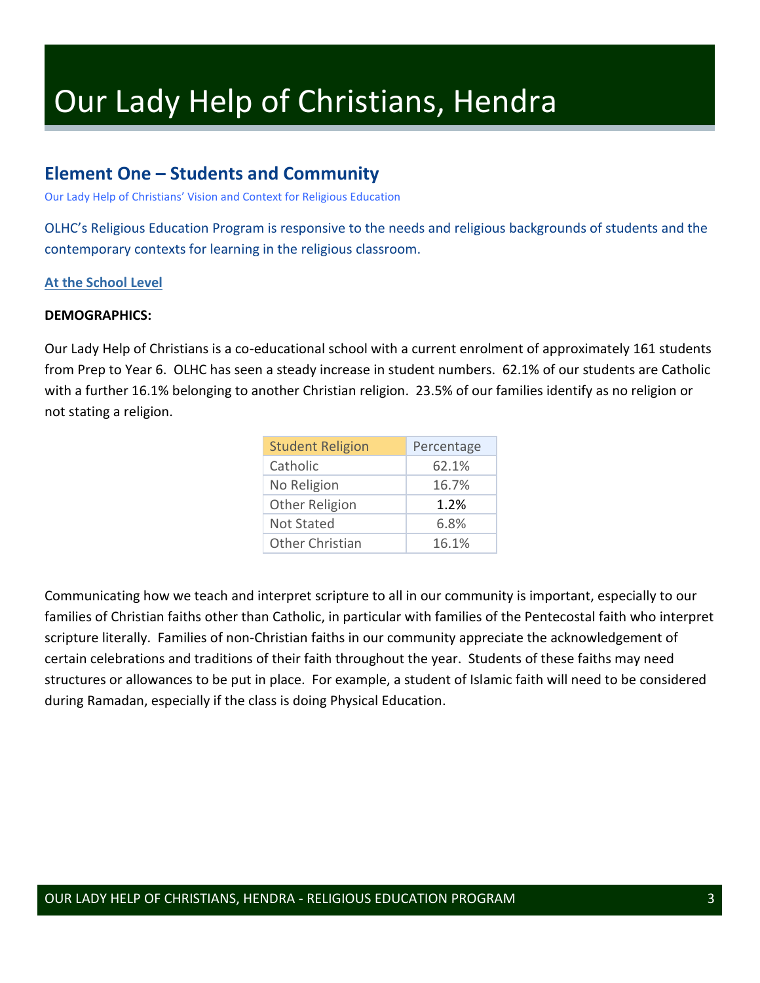### **Element One – Students and Community**

Our Lady Help of Christians' Vision and Context for Religious Education

OLHC's Religious Education Program is responsive to the needs and religious backgrounds of students and the contemporary contexts for learning in the religious classroom.

### **At the School Level**

### **DEMOGRAPHICS:**

Our Lady Help of Christians is a co-educational school with a current enrolment of approximately 161 students from Prep to Year 6. OLHC has seen a steady increase in student numbers. 62.1% of our students are Catholic with a further 16.1% belonging to another Christian religion. 23.5% of our families identify as no religion or not stating a religion.

| <b>Student Religion</b> | Percentage |
|-------------------------|------------|
| Catholic                | 62.1%      |
| No Religion             | 16.7%      |
| <b>Other Religion</b>   | 1.2%       |
| <b>Not Stated</b>       | 6.8%       |
| <b>Other Christian</b>  | 16.1%      |

Communicating how we teach and interpret scripture to all in our community is important, especially to our families of Christian faiths other than Catholic, in particular with families of the Pentecostal faith who interpret scripture literally. Families of non-Christian faiths in our community appreciate the acknowledgement of certain celebrations and traditions of their faith throughout the year. Students of these faiths may need structures or allowances to be put in place. For example, a student of Islamic faith will need to be considered during Ramadan, especially if the class is doing Physical Education.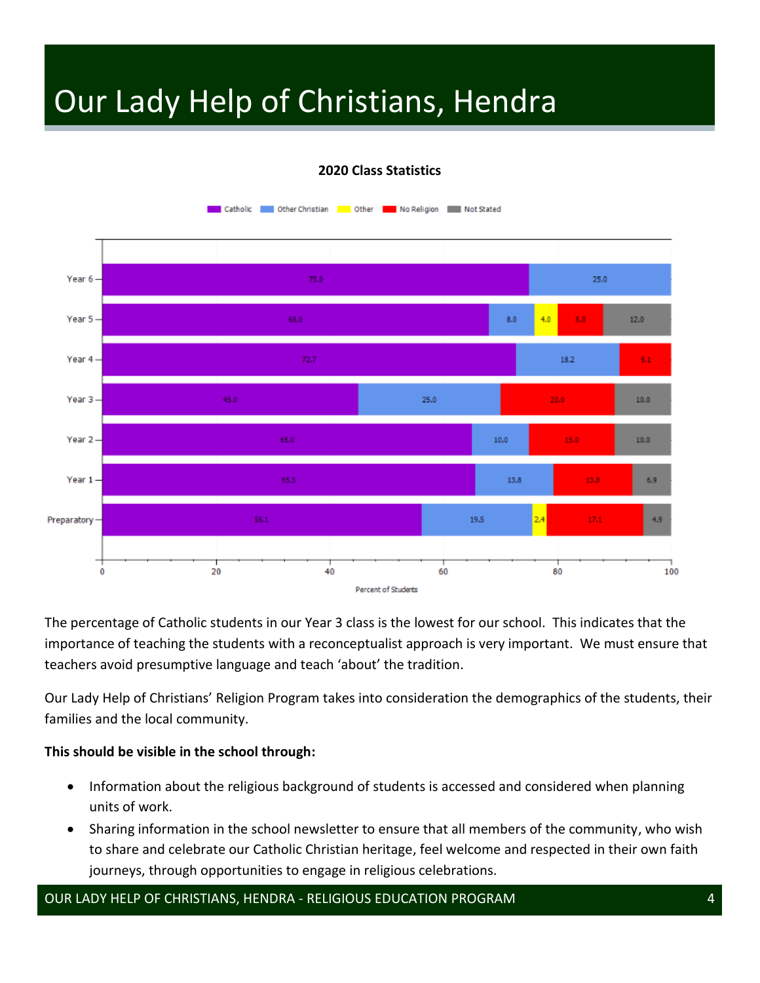### **2020 Class Statistics**



The percentage of Catholic students in our Year 3 class is the lowest for our school. This indicates that the importance of teaching the students with a reconceptualist approach is very important. We must ensure that teachers avoid presumptive language and teach 'about' the tradition.

Our Lady Help of Christians' Religion Program takes into consideration the demographics of the students, their families and the local community.

### **This should be visible in the school through:**

- Information about the religious background of students is accessed and considered when planning units of work.
- Sharing information in the school newsletter to ensure that all members of the community, who wish to share and celebrate our Catholic Christian heritage, feel welcome and respected in their own faith journeys, through opportunities to engage in religious celebrations.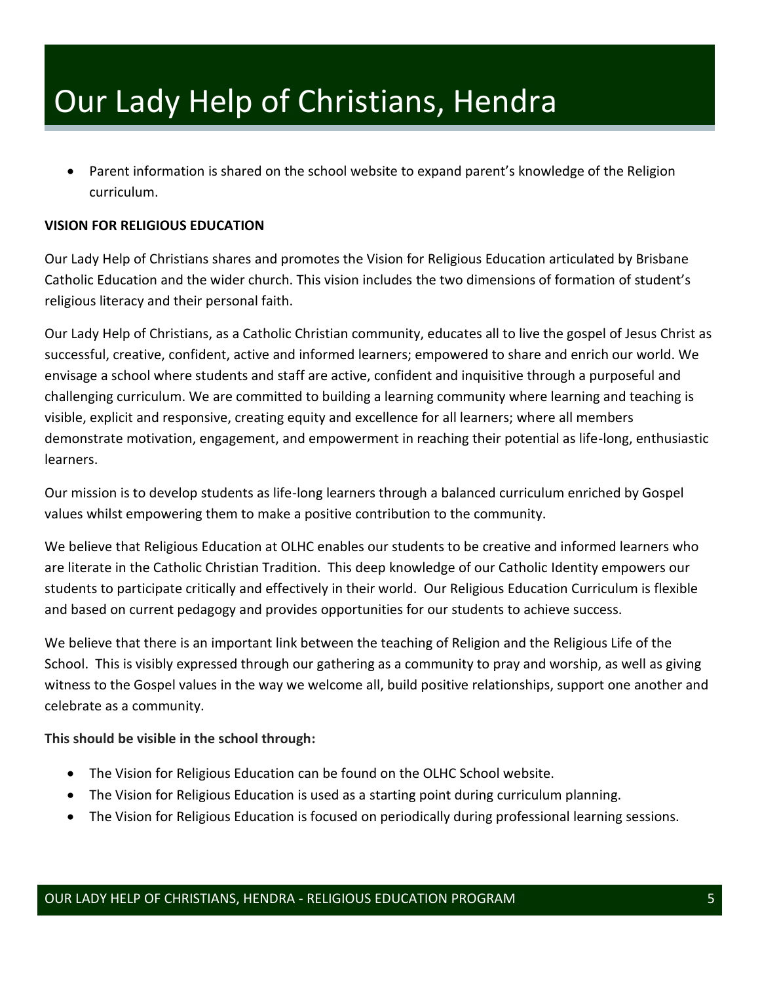• Parent information is shared on the school website to expand parent's knowledge of the Religion curriculum.

### **VISION FOR RELIGIOUS EDUCATION**

Our Lady Help of Christians shares and promotes the Vision for Religious Education articulated by Brisbane Catholic Education and the wider church. This vision includes the two dimensions of formation of student's religious literacy and their personal faith.

Our Lady Help of Christians, as a Catholic Christian community, educates all to live the gospel of Jesus Christ as successful, creative, confident, active and informed learners; empowered to share and enrich our world. We envisage a school where students and staff are active, confident and inquisitive through a purposeful and challenging curriculum. We are committed to building a learning community where learning and teaching is visible, explicit and responsive, creating equity and excellence for all learners; where all members demonstrate motivation, engagement, and empowerment in reaching their potential as life-long, enthusiastic learners.

Our mission is to develop students as life-long learners through a balanced curriculum enriched by Gospel values whilst empowering them to make a positive contribution to the community.

We believe that Religious Education at OLHC enables our students to be creative and informed learners who are literate in the Catholic Christian Tradition. This deep knowledge of our Catholic Identity empowers our students to participate critically and effectively in their world. Our Religious Education Curriculum is flexible and based on current pedagogy and provides opportunities for our students to achieve success.

We believe that there is an important link between the teaching of Religion and the Religious Life of the School. This is visibly expressed through our gathering as a community to pray and worship, as well as giving witness to the Gospel values in the way we welcome all, build positive relationships, support one another and celebrate as a community.

- The Vision for Religious Education can be found on the OLHC School website.
- The Vision for Religious Education is used as a starting point during curriculum planning.
- The Vision for Religious Education is focused on periodically during professional learning sessions.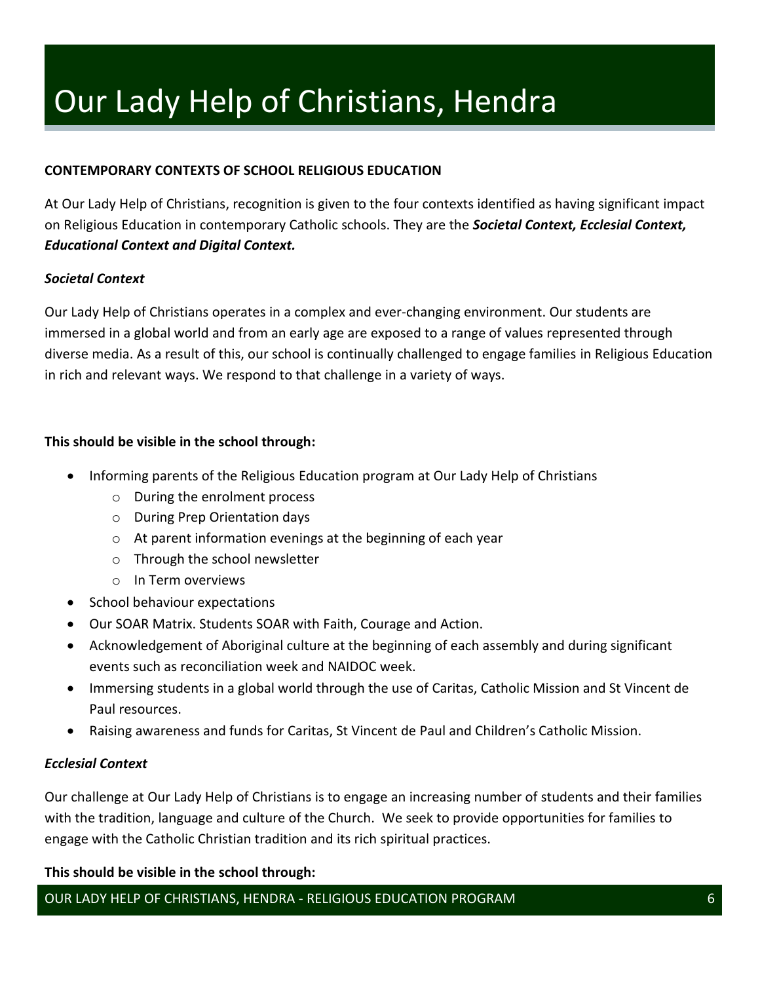### **CONTEMPORARY CONTEXTS OF SCHOOL RELIGIOUS EDUCATION**

At Our Lady Help of Christians, recognition is given to the four contexts identified as having significant impact on Religious Education in contemporary Catholic schools. They are the *Societal Context, Ecclesial Context, Educational Context and Digital Context.*

### *Societal Context*

Our Lady Help of Christians operates in a complex and ever-changing environment. Our students are immersed in a global world and from an early age are exposed to a range of values represented through diverse media. As a result of this, our school is continually challenged to engage families in Religious Education in rich and relevant ways. We respond to that challenge in a variety of ways.

### **This should be visible in the school through:**

- Informing parents of the Religious Education program at Our Lady Help of Christians
	- o During the enrolment process
	- o During Prep Orientation days
	- o At parent information evenings at the beginning of each year
	- o Through the school newsletter
	- o In Term overviews
- School behaviour expectations
- Our SOAR Matrix. Students SOAR with Faith, Courage and Action.
- Acknowledgement of Aboriginal culture at the beginning of each assembly and during significant events such as reconciliation week and NAIDOC week.
- Immersing students in a global world through the use of Caritas, Catholic Mission and St Vincent de Paul resources.
- Raising awareness and funds for Caritas, St Vincent de Paul and Children's Catholic Mission.

### *Ecclesial Context*

Our challenge at Our Lady Help of Christians is to engage an increasing number of students and their families with the tradition, language and culture of the Church. We seek to provide opportunities for families to engage with the Catholic Christian tradition and its rich spiritual practices.

### **This should be visible in the school through:**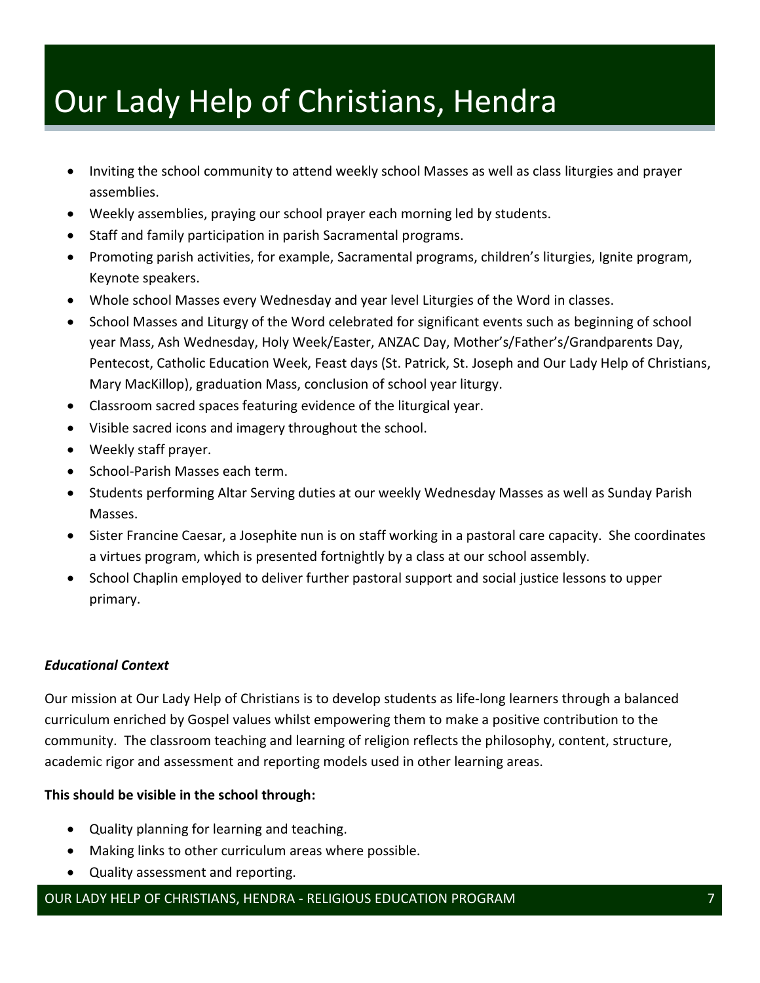- Inviting the school community to attend weekly school Masses as well as class liturgies and prayer assemblies.
- Weekly assemblies, praying our school prayer each morning led by students.
- Staff and family participation in parish Sacramental programs.
- Promoting parish activities, for example, Sacramental programs, children's liturgies, Ignite program, Keynote speakers.
- Whole school Masses every Wednesday and year level Liturgies of the Word in classes.
- School Masses and Liturgy of the Word celebrated for significant events such as beginning of school year Mass, Ash Wednesday, Holy Week/Easter, ANZAC Day, Mother's/Father's/Grandparents Day, Pentecost, Catholic Education Week, Feast days (St. Patrick, St. Joseph and Our Lady Help of Christians, Mary MacKillop), graduation Mass, conclusion of school year liturgy.
- Classroom sacred spaces featuring evidence of the liturgical year.
- Visible sacred icons and imagery throughout the school.
- Weekly staff prayer.
- School-Parish Masses each term.
- Students performing Altar Serving duties at our weekly Wednesday Masses as well as Sunday Parish Masses.
- Sister Francine Caesar, a Josephite nun is on staff working in a pastoral care capacity. She coordinates a virtues program, which is presented fortnightly by a class at our school assembly.
- School Chaplin employed to deliver further pastoral support and social justice lessons to upper primary.

### *Educational Context*

Our mission at Our Lady Help of Christians is to develop students as life-long learners through a balanced curriculum enriched by Gospel values whilst empowering them to make a positive contribution to the community. The classroom teaching and learning of religion reflects the philosophy, content, structure, academic rigor and assessment and reporting models used in other learning areas.

### **This should be visible in the school through:**

- Quality planning for learning and teaching.
- Making links to other curriculum areas where possible.
- Quality assessment and reporting.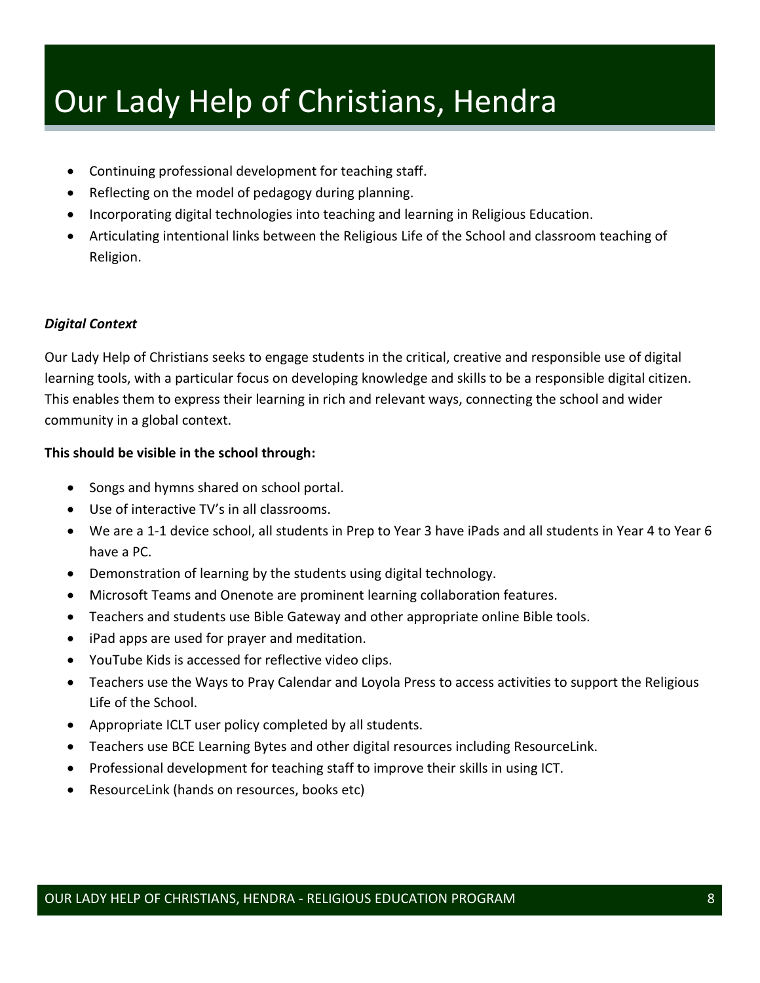- Continuing professional development for teaching staff.
- Reflecting on the model of pedagogy during planning.
- Incorporating digital technologies into teaching and learning in Religious Education.
- Articulating intentional links between the Religious Life of the School and classroom teaching of Religion.

### *Digital Context*

Our Lady Help of Christians seeks to engage students in the critical, creative and responsible use of digital learning tools, with a particular focus on developing knowledge and skills to be a responsible digital citizen. This enables them to express their learning in rich and relevant ways, connecting the school and wider community in a global context.

- Songs and hymns shared on school portal.
- Use of interactive TV's in all classrooms.
- We are a 1-1 device school, all students in Prep to Year 3 have iPads and all students in Year 4 to Year 6 have a PC.
- Demonstration of learning by the students using digital technology.
- Microsoft Teams and Onenote are prominent learning collaboration features.
- Teachers and students use Bible Gateway and other appropriate online Bible tools.
- iPad apps are used for prayer and meditation.
- YouTube Kids is accessed for reflective video clips.
- Teachers use the Ways to Pray Calendar and Loyola Press to access activities to support the Religious Life of the School.
- Appropriate ICLT user policy completed by all students.
- Teachers use BCE Learning Bytes and other digital resources including ResourceLink.
- Professional development for teaching staff to improve their skills in using ICT.
- ResourceLink (hands on resources, books etc)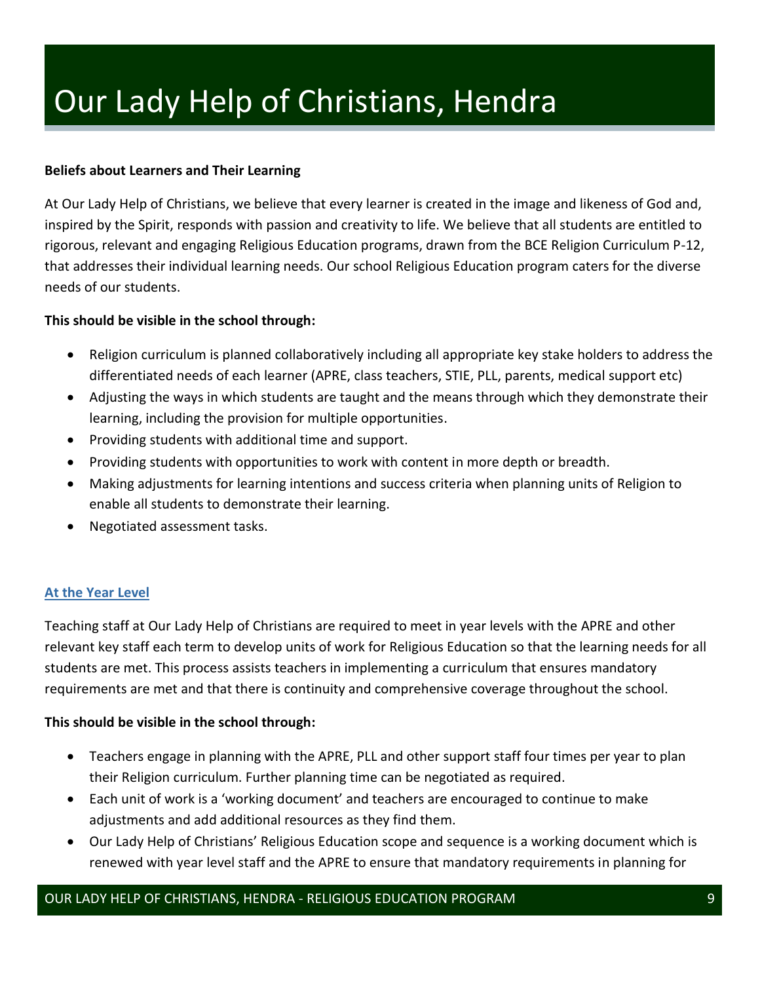### **Beliefs about Learners and Their Learning**

At Our Lady Help of Christians, we believe that every learner is created in the image and likeness of God and, inspired by the Spirit, responds with passion and creativity to life. We believe that all students are entitled to rigorous, relevant and engaging Religious Education programs, drawn from the BCE Religion Curriculum P-12, that addresses their individual learning needs. Our school Religious Education program caters for the diverse needs of our students.

### **This should be visible in the school through:**

- Religion curriculum is planned collaboratively including all appropriate key stake holders to address the differentiated needs of each learner (APRE, class teachers, STIE, PLL, parents, medical support etc)
- Adjusting the ways in which students are taught and the means through which they demonstrate their learning, including the provision for multiple opportunities.
- Providing students with additional time and support.
- Providing students with opportunities to work with content in more depth or breadth.
- Making adjustments for learning intentions and success criteria when planning units of Religion to enable all students to demonstrate their learning.
- Negotiated assessment tasks.

### **At the Year Level**

Teaching staff at Our Lady Help of Christians are required to meet in year levels with the APRE and other relevant key staff each term to develop units of work for Religious Education so that the learning needs for all students are met. This process assists teachers in implementing a curriculum that ensures mandatory requirements are met and that there is continuity and comprehensive coverage throughout the school.

### **This should be visible in the school through:**

- Teachers engage in planning with the APRE, PLL and other support staff four times per year to plan their Religion curriculum. Further planning time can be negotiated as required.
- Each unit of work is a 'working document' and teachers are encouraged to continue to make adjustments and add additional resources as they find them.
- Our Lady Help of Christians' Religious Education scope and sequence is a working document which is renewed with year level staff and the APRE to ensure that mandatory requirements in planning for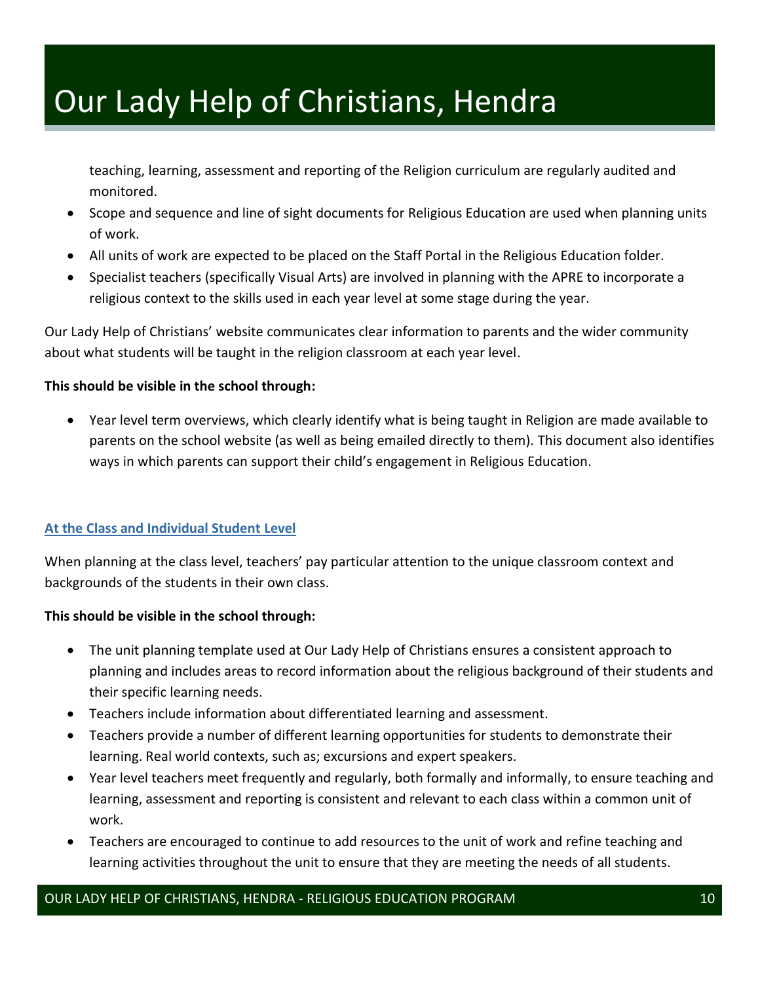teaching, learning, assessment and reporting of the Religion curriculum are regularly audited and monitored.

- Scope and sequence and line of sight documents for Religious Education are used when planning units of work.
- All units of work are expected to be placed on the Staff Portal in the Religious Education folder.
- Specialist teachers (specifically Visual Arts) are involved in planning with the APRE to incorporate a religious context to the skills used in each year level at some stage during the year.

Our Lady Help of Christians' website communicates clear information to parents and the wider community about what students will be taught in the religion classroom at each year level.

### **This should be visible in the school through:**

• Year level term overviews, which clearly identify what is being taught in Religion are made available to parents on the school website (as well as being emailed directly to them). This document also identifies ways in which parents can support their child's engagement in Religious Education.

### **At the Class and Individual Student Level**

When planning at the class level, teachers' pay particular attention to the unique classroom context and backgrounds of the students in their own class.

### **This should be visible in the school through:**

- The unit planning template used at Our Lady Help of Christians ensures a consistent approach to planning and includes areas to record information about the religious background of their students and their specific learning needs.
- Teachers include information about differentiated learning and assessment.
- Teachers provide a number of different learning opportunities for students to demonstrate their learning. Real world contexts, such as; excursions and expert speakers.
- Year level teachers meet frequently and regularly, both formally and informally, to ensure teaching and learning, assessment and reporting is consistent and relevant to each class within a common unit of work.
- Teachers are encouraged to continue to add resources to the unit of work and refine teaching and learning activities throughout the unit to ensure that they are meeting the needs of all students.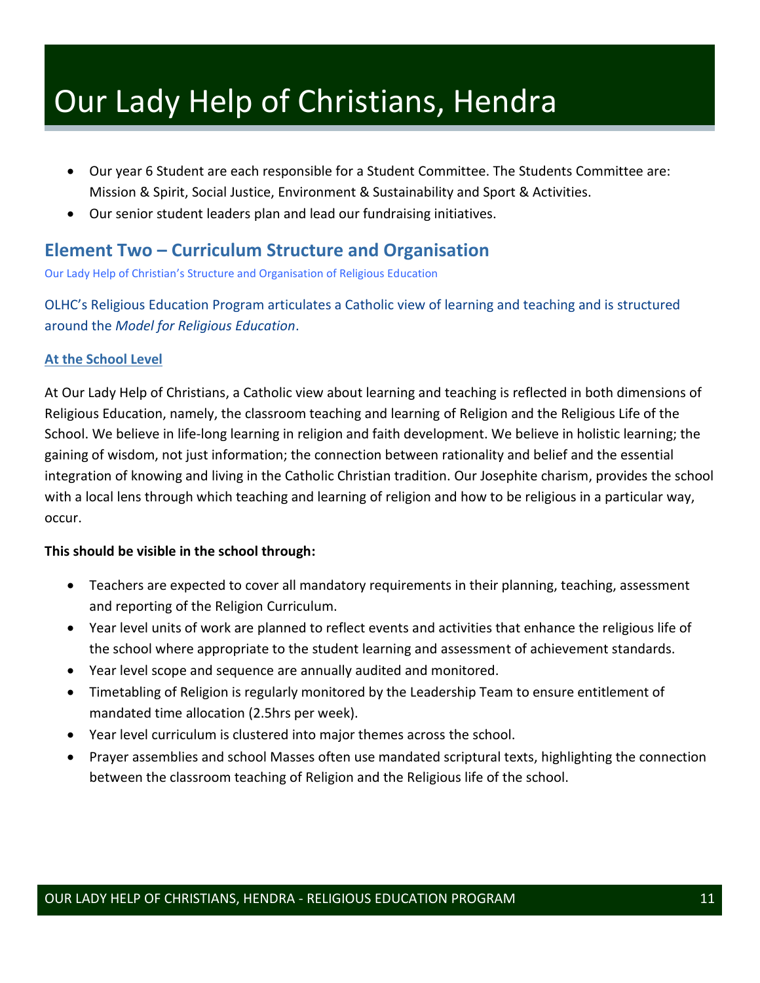- Our year 6 Student are each responsible for a Student Committee. The Students Committee are: Mission & Spirit, Social Justice, Environment & Sustainability and Sport & Activities.
- Our senior student leaders plan and lead our fundraising initiatives.

### **Element Two – Curriculum Structure and Organisation**

Our Lady Help of Christian's Structure and Organisation of Religious Education

OLHC's Religious Education Program articulates a Catholic view of learning and teaching and is structured around the *Model for Religious Education*.

### **At the School Level**

At Our Lady Help of Christians, a Catholic view about learning and teaching is reflected in both dimensions of Religious Education, namely, the classroom teaching and learning of Religion and the Religious Life of the School. We believe in life-long learning in religion and faith development. We believe in holistic learning; the gaining of wisdom, not just information; the connection between rationality and belief and the essential integration of knowing and living in the Catholic Christian tradition. Our Josephite charism, provides the school with a local lens through which teaching and learning of religion and how to be religious in a particular way, occur.

- Teachers are expected to cover all mandatory requirements in their planning, teaching, assessment and reporting of the Religion Curriculum.
- Year level units of work are planned to reflect events and activities that enhance the religious life of the school where appropriate to the student learning and assessment of achievement standards.
- Year level scope and sequence are annually audited and monitored.
- Timetabling of Religion is regularly monitored by the Leadership Team to ensure entitlement of mandated time allocation (2.5hrs per week).
- Year level curriculum is clustered into major themes across the school.
- Prayer assemblies and school Masses often use mandated scriptural texts, highlighting the connection between the classroom teaching of Religion and the Religious life of the school.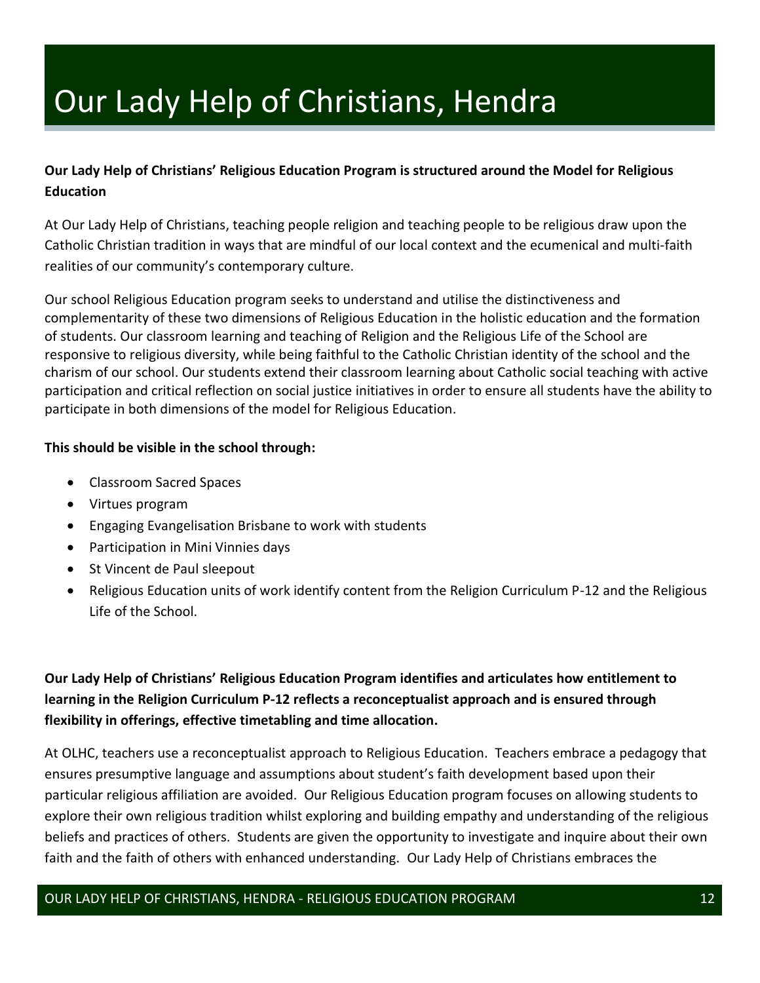### **Our Lady Help of Christians' Religious Education Program is structured around the Model for Religious Education**

At Our Lady Help of Christians, teaching people religion and teaching people to be religious draw upon the Catholic Christian tradition in ways that are mindful of our local context and the ecumenical and multi-faith realities of our community's contemporary culture.

Our school Religious Education program seeks to understand and utilise the distinctiveness and complementarity of these two dimensions of Religious Education in the holistic education and the formation of students. Our classroom learning and teaching of Religion and the Religious Life of the School are responsive to religious diversity, while being faithful to the Catholic Christian identity of the school and the charism of our school. Our students extend their classroom learning about Catholic social teaching with active participation and critical reflection on social justice initiatives in order to ensure all students have the ability to participate in both dimensions of the model for Religious Education.

### **This should be visible in the school through:**

- Classroom Sacred Spaces
- Virtues program
- Engaging Evangelisation Brisbane to work with students
- Participation in Mini Vinnies days
- St Vincent de Paul sleepout
- Religious Education units of work identify content from the Religion Curriculum P-12 and the Religious Life of the School.

### **Our Lady Help of Christians' Religious Education Program identifies and articulates how entitlement to learning in the Religion Curriculum P-12 reflects a reconceptualist approach and is ensured through flexibility in offerings, effective timetabling and time allocation.**

At OLHC, teachers use a reconceptualist approach to Religious Education. Teachers embrace a pedagogy that ensures presumptive language and assumptions about student's faith development based upon their particular religious affiliation are avoided. Our Religious Education program focuses on allowing students to explore their own religious tradition whilst exploring and building empathy and understanding of the religious beliefs and practices of others. Students are given the opportunity to investigate and inquire about their own faith and the faith of others with enhanced understanding. Our Lady Help of Christians embraces the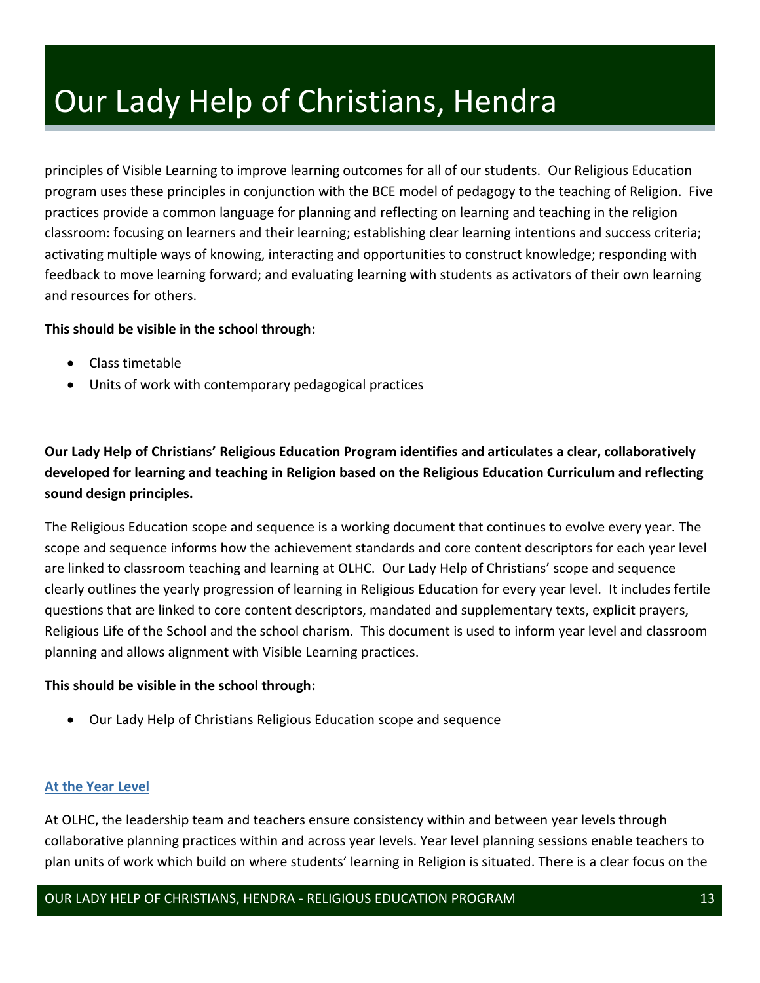principles of Visible Learning to improve learning outcomes for all of our students. Our Religious Education program uses these principles in conjunction with the BCE model of pedagogy to the teaching of Religion. Five practices provide a common language for planning and reflecting on learning and teaching in the religion classroom: focusing on learners and their learning; establishing clear learning intentions and success criteria; activating multiple ways of knowing, interacting and opportunities to construct knowledge; responding with feedback to move learning forward; and evaluating learning with students as activators of their own learning and resources for others.

### **This should be visible in the school through:**

- Class timetable
- Units of work with contemporary pedagogical practices

### **Our Lady Help of Christians' Religious Education Program identifies and articulates a clear, collaboratively developed for learning and teaching in Religion based on the Religious Education Curriculum and reflecting sound design principles.**

The Religious Education scope and sequence is a working document that continues to evolve every year. The scope and sequence informs how the achievement standards and core content descriptors for each year level are linked to classroom teaching and learning at OLHC. Our Lady Help of Christians' scope and sequence clearly outlines the yearly progression of learning in Religious Education for every year level. It includes fertile questions that are linked to core content descriptors, mandated and supplementary texts, explicit prayers, Religious Life of the School and the school charism. This document is used to inform year level and classroom planning and allows alignment with Visible Learning practices.

### **This should be visible in the school through:**

• Our Lady Help of Christians Religious Education scope and sequence

#### **At the Year Level**

At OLHC, the leadership team and teachers ensure consistency within and between year levels through collaborative planning practices within and across year levels. Year level planning sessions enable teachers to plan units of work which build on where students' learning in Religion is situated. There is a clear focus on the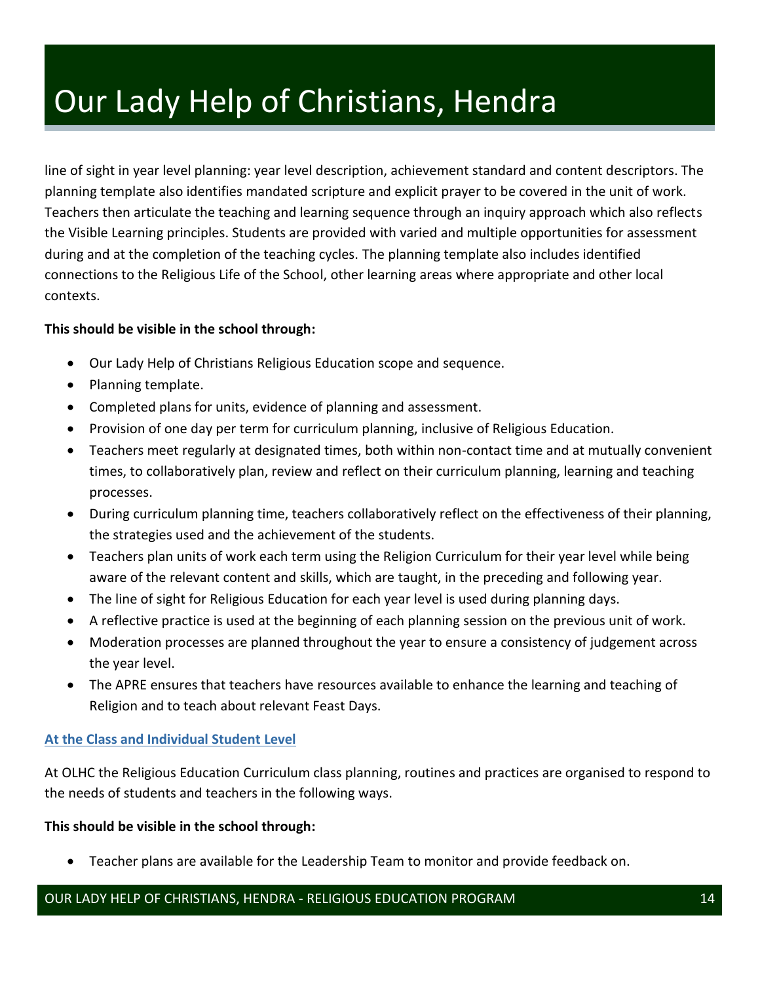line of sight in year level planning: year level description, achievement standard and content descriptors. The planning template also identifies mandated scripture and explicit prayer to be covered in the unit of work. Teachers then articulate the teaching and learning sequence through an inquiry approach which also reflects the Visible Learning principles. Students are provided with varied and multiple opportunities for assessment during and at the completion of the teaching cycles. The planning template also includes identified connections to the Religious Life of the School, other learning areas where appropriate and other local contexts.

### **This should be visible in the school through:**

- Our Lady Help of Christians Religious Education scope and sequence.
- Planning template.
- Completed plans for units, evidence of planning and assessment.
- Provision of one day per term for curriculum planning, inclusive of Religious Education.
- Teachers meet regularly at designated times, both within non-contact time and at mutually convenient times, to collaboratively plan, review and reflect on their curriculum planning, learning and teaching processes.
- During curriculum planning time, teachers collaboratively reflect on the effectiveness of their planning, the strategies used and the achievement of the students.
- Teachers plan units of work each term using the Religion Curriculum for their year level while being aware of the relevant content and skills, which are taught, in the preceding and following year.
- The line of sight for Religious Education for each year level is used during planning days.
- A reflective practice is used at the beginning of each planning session on the previous unit of work.
- Moderation processes are planned throughout the year to ensure a consistency of judgement across the year level.
- The APRE ensures that teachers have resources available to enhance the learning and teaching of Religion and to teach about relevant Feast Days.

### **At the Class and Individual Student Level**

At OLHC the Religious Education Curriculum class planning, routines and practices are organised to respond to the needs of students and teachers in the following ways.

#### **This should be visible in the school through:**

• Teacher plans are available for the Leadership Team to monitor and provide feedback on.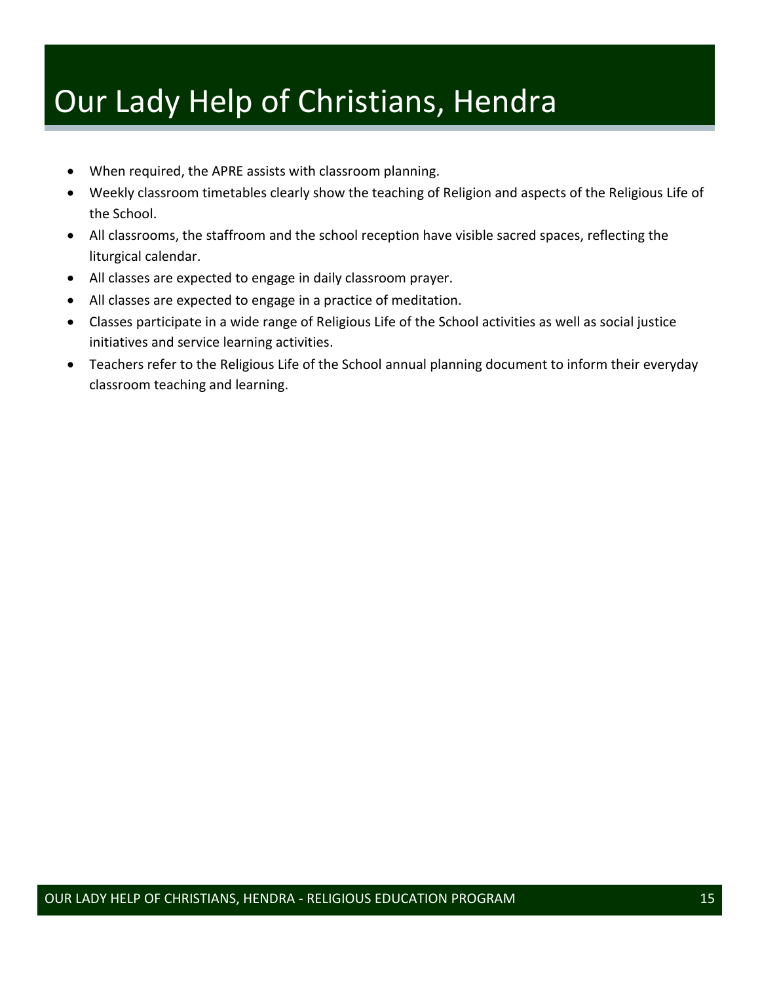- When required, the APRE assists with classroom planning.
- Weekly classroom timetables clearly show the teaching of Religion and aspects of the Religious Life of the School.
- All classrooms, the staffroom and the school reception have visible sacred spaces, reflecting the liturgical calendar.
- All classes are expected to engage in daily classroom prayer.
- All classes are expected to engage in a practice of meditation.
- Classes participate in a wide range of Religious Life of the School activities as well as social justice initiatives and service learning activities.
- Teachers refer to the Religious Life of the School annual planning document to inform their everyday classroom teaching and learning.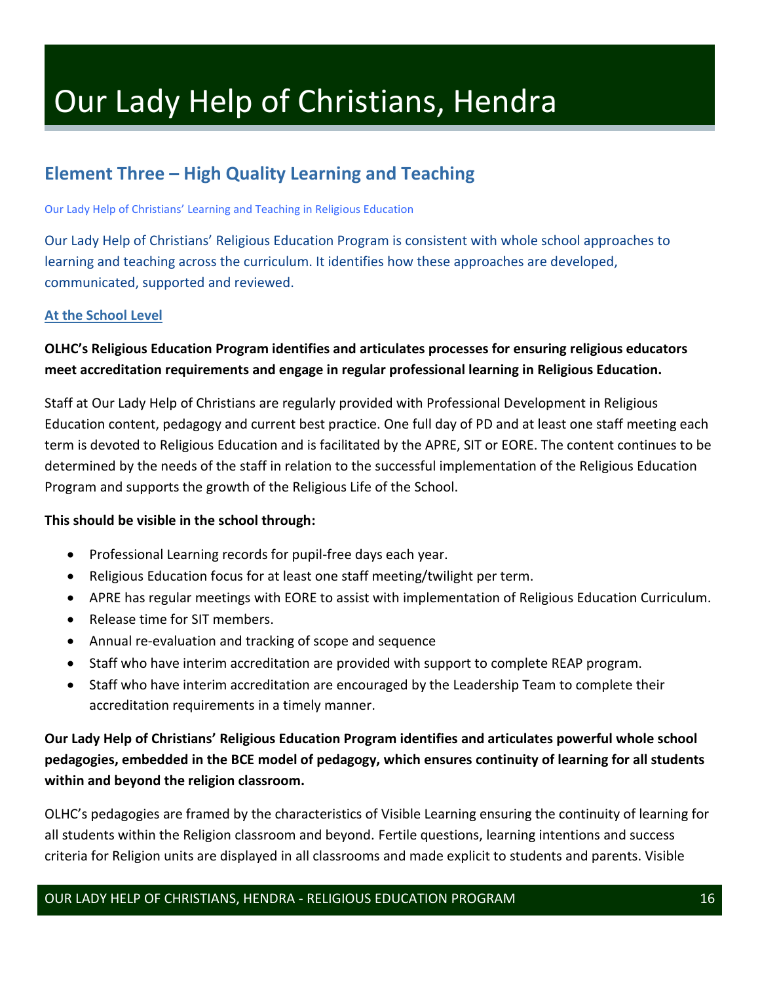### **Element Three – High Quality Learning and Teaching**

#### Our Lady Help of Christians' Learning and Teaching in Religious Education

Our Lady Help of Christians' Religious Education Program is consistent with whole school approaches to learning and teaching across the curriculum. It identifies how these approaches are developed, communicated, supported and reviewed.

#### **At the School Level**

### **OLHC's Religious Education Program identifies and articulates processes for ensuring religious educators meet accreditation requirements and engage in regular professional learning in Religious Education.**

Staff at Our Lady Help of Christians are regularly provided with Professional Development in Religious Education content, pedagogy and current best practice. One full day of PD and at least one staff meeting each term is devoted to Religious Education and is facilitated by the APRE, SIT or EORE. The content continues to be determined by the needs of the staff in relation to the successful implementation of the Religious Education Program and supports the growth of the Religious Life of the School.

### **This should be visible in the school through:**

- Professional Learning records for pupil-free days each year.
- Religious Education focus for at least one staff meeting/twilight per term.
- APRE has regular meetings with EORE to assist with implementation of Religious Education Curriculum.
- Release time for SIT members.
- Annual re-evaluation and tracking of scope and sequence
- Staff who have interim accreditation are provided with support to complete REAP program.
- Staff who have interim accreditation are encouraged by the Leadership Team to complete their accreditation requirements in a timely manner.

### **Our Lady Help of Christians' Religious Education Program identifies and articulates powerful whole school pedagogies, embedded in the BCE model of pedagogy, which ensures continuity of learning for all students within and beyond the religion classroom.**

OLHC's pedagogies are framed by the characteristics of Visible Learning ensuring the continuity of learning for all students within the Religion classroom and beyond. Fertile questions, learning intentions and success criteria for Religion units are displayed in all classrooms and made explicit to students and parents. Visible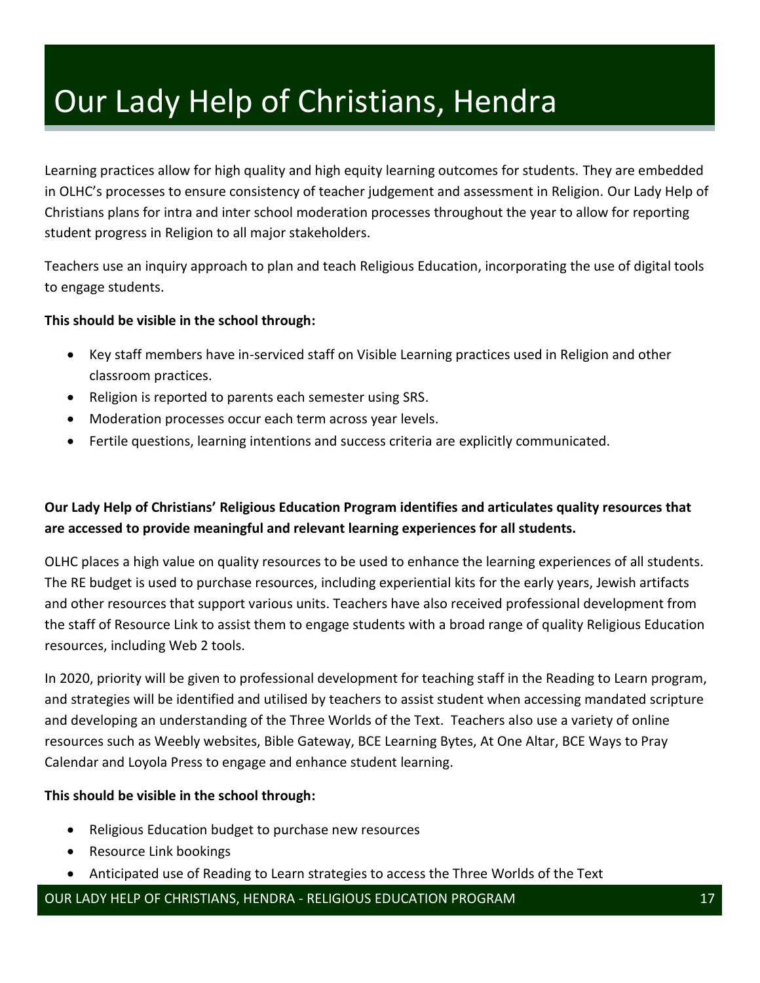Learning practices allow for high quality and high equity learning outcomes for students. They are embedded in OLHC's processes to ensure consistency of teacher judgement and assessment in Religion. Our Lady Help of Christians plans for intra and inter school moderation processes throughout the year to allow for reporting student progress in Religion to all major stakeholders.

Teachers use an inquiry approach to plan and teach Religious Education, incorporating the use of digital tools to engage students.

### **This should be visible in the school through:**

- Key staff members have in-serviced staff on Visible Learning practices used in Religion and other classroom practices.
- Religion is reported to parents each semester using SRS.
- Moderation processes occur each term across year levels.
- Fertile questions, learning intentions and success criteria are explicitly communicated.

### **Our Lady Help of Christians' Religious Education Program identifies and articulates quality resources that are accessed to provide meaningful and relevant learning experiences for all students.**

OLHC places a high value on quality resources to be used to enhance the learning experiences of all students. The RE budget is used to purchase resources, including experiential kits for the early years, Jewish artifacts and other resources that support various units. Teachers have also received professional development from the staff of Resource Link to assist them to engage students with a broad range of quality Religious Education resources, including Web 2 tools.

In 2020, priority will be given to professional development for teaching staff in the Reading to Learn program, and strategies will be identified and utilised by teachers to assist student when accessing mandated scripture and developing an understanding of the Three Worlds of the Text. Teachers also use a variety of online resources such as Weebly websites, Bible Gateway, BCE Learning Bytes, At One Altar, BCE Ways to Pray Calendar and Loyola Press to engage and enhance student learning.

### **This should be visible in the school through:**

- Religious Education budget to purchase new resources
- Resource Link bookings
- Anticipated use of Reading to Learn strategies to access the Three Worlds of the Text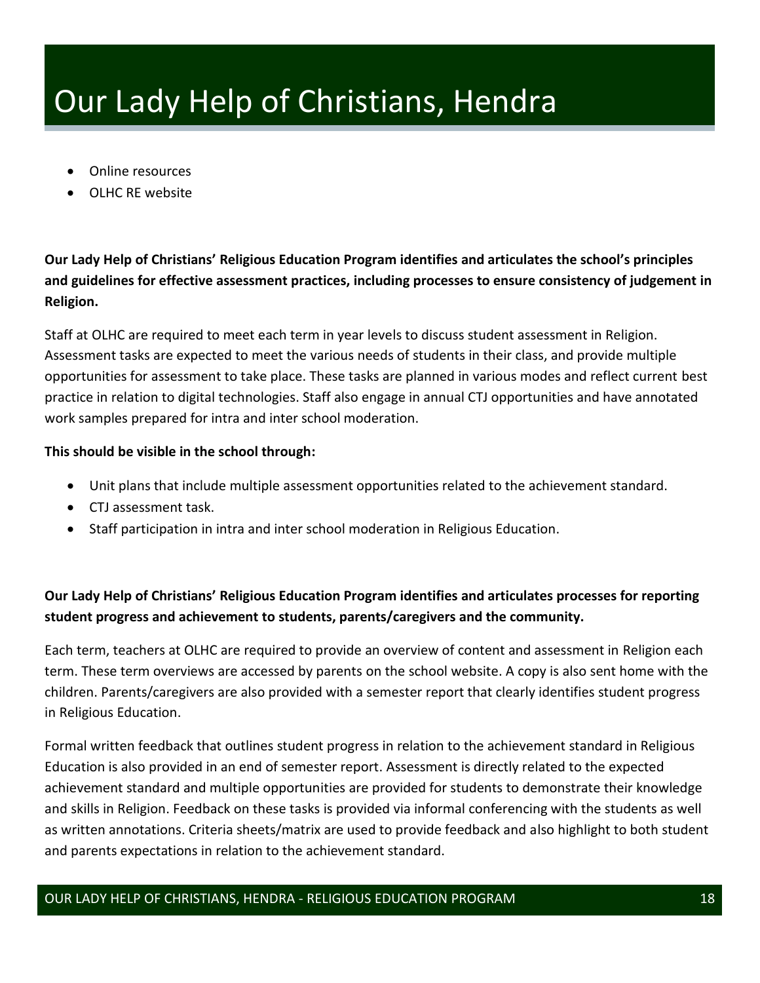- Online resources
- OLHC RE website

**Our Lady Help of Christians' Religious Education Program identifies and articulates the school's principles and guidelines for effective assessment practices, including processes to ensure consistency of judgement in Religion.**

Staff at OLHC are required to meet each term in year levels to discuss student assessment in Religion. Assessment tasks are expected to meet the various needs of students in their class, and provide multiple opportunities for assessment to take place. These tasks are planned in various modes and reflect current best practice in relation to digital technologies. Staff also engage in annual CTJ opportunities and have annotated work samples prepared for intra and inter school moderation.

### **This should be visible in the school through:**

- Unit plans that include multiple assessment opportunities related to the achievement standard.
- CTJ assessment task.
- Staff participation in intra and inter school moderation in Religious Education.

### **Our Lady Help of Christians' Religious Education Program identifies and articulates processes for reporting student progress and achievement to students, parents/caregivers and the community.**

Each term, teachers at OLHC are required to provide an overview of content and assessment in Religion each term. These term overviews are accessed by parents on the school website. A copy is also sent home with the children. Parents/caregivers are also provided with a semester report that clearly identifies student progress in Religious Education.

Formal written feedback that outlines student progress in relation to the achievement standard in Religious Education is also provided in an end of semester report. Assessment is directly related to the expected achievement standard and multiple opportunities are provided for students to demonstrate their knowledge and skills in Religion. Feedback on these tasks is provided via informal conferencing with the students as well as written annotations. Criteria sheets/matrix are used to provide feedback and also highlight to both student and parents expectations in relation to the achievement standard.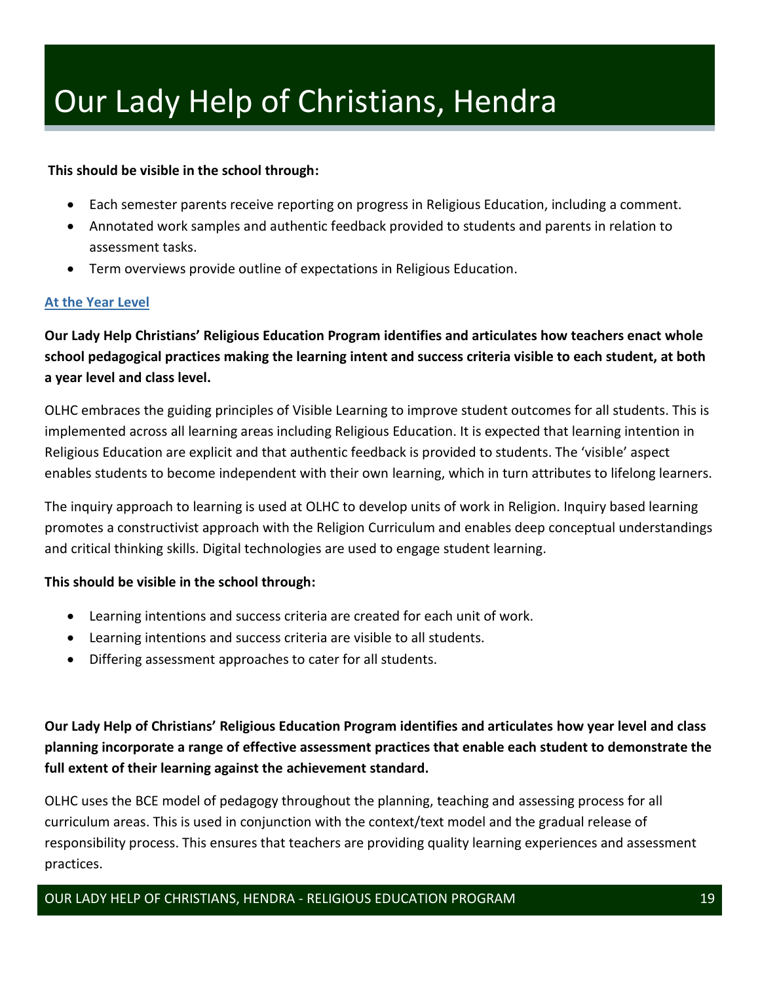### **This should be visible in the school through:**

- Each semester parents receive reporting on progress in Religious Education, including a comment.
- Annotated work samples and authentic feedback provided to students and parents in relation to assessment tasks.
- Term overviews provide outline of expectations in Religious Education.

### **At the Year Level**

**Our Lady Help Christians' Religious Education Program identifies and articulates how teachers enact whole school pedagogical practices making the learning intent and success criteria visible to each student, at both a year level and class level.** 

OLHC embraces the guiding principles of Visible Learning to improve student outcomes for all students. This is implemented across all learning areas including Religious Education. It is expected that learning intention in Religious Education are explicit and that authentic feedback is provided to students. The 'visible' aspect enables students to become independent with their own learning, which in turn attributes to lifelong learners.

The inquiry approach to learning is used at OLHC to develop units of work in Religion. Inquiry based learning promotes a constructivist approach with the Religion Curriculum and enables deep conceptual understandings and critical thinking skills. Digital technologies are used to engage student learning.

### **This should be visible in the school through:**

- Learning intentions and success criteria are created for each unit of work.
- Learning intentions and success criteria are visible to all students.
- Differing assessment approaches to cater for all students.

**Our Lady Help of Christians' Religious Education Program identifies and articulates how year level and class planning incorporate a range of effective assessment practices that enable each student to demonstrate the full extent of their learning against the achievement standard.**

OLHC uses the BCE model of pedagogy throughout the planning, teaching and assessing process for all curriculum areas. This is used in conjunction with the context/text model and the gradual release of responsibility process. This ensures that teachers are providing quality learning experiences and assessment practices.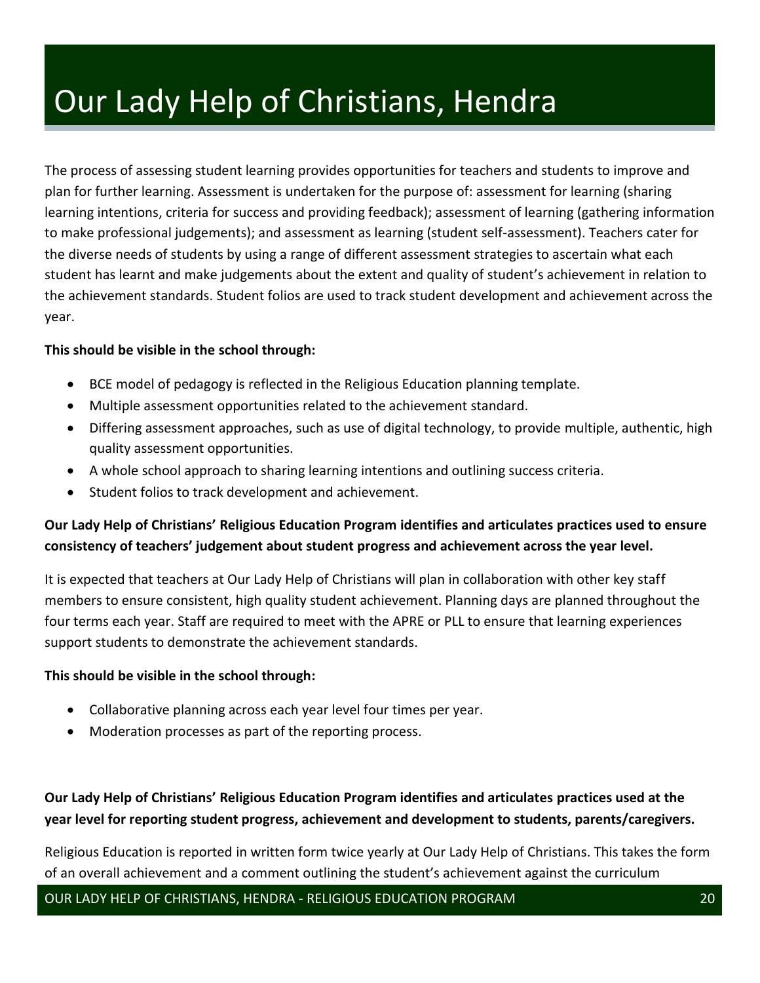The process of assessing student learning provides opportunities for teachers and students to improve and plan for further learning. Assessment is undertaken for the purpose of: assessment for learning (sharing learning intentions, criteria for success and providing feedback); assessment of learning (gathering information to make professional judgements); and assessment as learning (student self-assessment). Teachers cater for the diverse needs of students by using a range of different assessment strategies to ascertain what each student has learnt and make judgements about the extent and quality of student's achievement in relation to the achievement standards. Student folios are used to track student development and achievement across the year.

### **This should be visible in the school through:**

- BCE model of pedagogy is reflected in the Religious Education planning template.
- Multiple assessment opportunities related to the achievement standard.
- Differing assessment approaches, such as use of digital technology, to provide multiple, authentic, high quality assessment opportunities.
- A whole school approach to sharing learning intentions and outlining success criteria.
- Student folios to track development and achievement.

### **Our Lady Help of Christians' Religious Education Program identifies and articulates practices used to ensure consistency of teachers' judgement about student progress and achievement across the year level.**

It is expected that teachers at Our Lady Help of Christians will plan in collaboration with other key staff members to ensure consistent, high quality student achievement. Planning days are planned throughout the four terms each year. Staff are required to meet with the APRE or PLL to ensure that learning experiences support students to demonstrate the achievement standards.

### **This should be visible in the school through:**

- Collaborative planning across each year level four times per year.
- Moderation processes as part of the reporting process.

### **Our Lady Help of Christians' Religious Education Program identifies and articulates practices used at the year level for reporting student progress, achievement and development to students, parents/caregivers.**

Religious Education is reported in written form twice yearly at Our Lady Help of Christians. This takes the form of an overall achievement and a comment outlining the student's achievement against the curriculum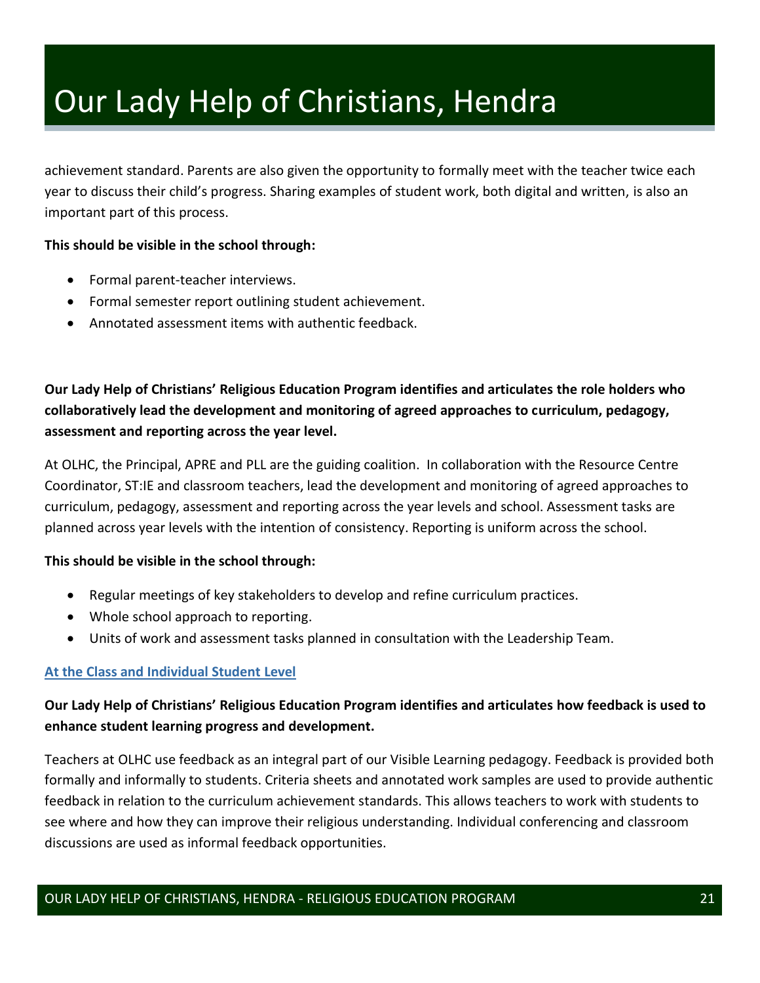achievement standard. Parents are also given the opportunity to formally meet with the teacher twice each year to discuss their child's progress. Sharing examples of student work, both digital and written, is also an important part of this process.

### **This should be visible in the school through:**

- Formal parent-teacher interviews.
- Formal semester report outlining student achievement.
- Annotated assessment items with authentic feedback.

**Our Lady Help of Christians' Religious Education Program identifies and articulates the role holders who collaboratively lead the development and monitoring of agreed approaches to curriculum, pedagogy, assessment and reporting across the year level.**

At OLHC, the Principal, APRE and PLL are the guiding coalition. In collaboration with the Resource Centre Coordinator, ST:IE and classroom teachers, lead the development and monitoring of agreed approaches to curriculum, pedagogy, assessment and reporting across the year levels and school. Assessment tasks are planned across year levels with the intention of consistency. Reporting is uniform across the school.

### **This should be visible in the school through:**

- Regular meetings of key stakeholders to develop and refine curriculum practices.
- Whole school approach to reporting.
- Units of work and assessment tasks planned in consultation with the Leadership Team.

### **At the Class and Individual Student Level**

### **Our Lady Help of Christians' Religious Education Program identifies and articulates how feedback is used to enhance student learning progress and development.**

Teachers at OLHC use feedback as an integral part of our Visible Learning pedagogy. Feedback is provided both formally and informally to students. Criteria sheets and annotated work samples are used to provide authentic feedback in relation to the curriculum achievement standards. This allows teachers to work with students to see where and how they can improve their religious understanding. Individual conferencing and classroom discussions are used as informal feedback opportunities.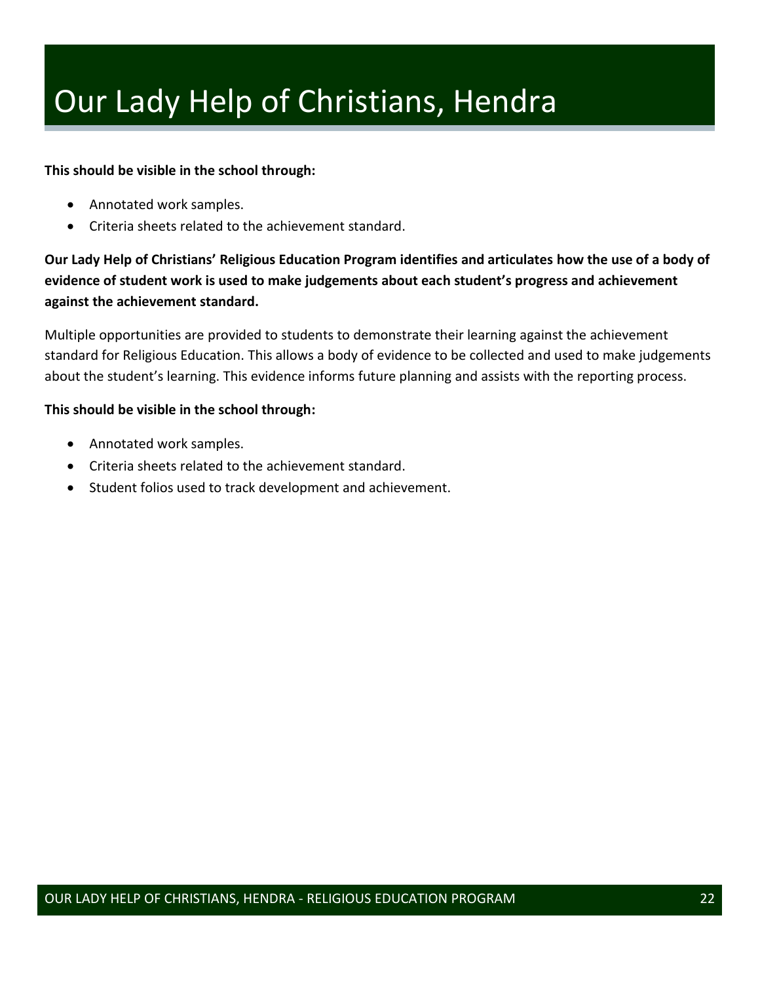### **This should be visible in the school through:**

- Annotated work samples.
- Criteria sheets related to the achievement standard.

### **Our Lady Help of Christians' Religious Education Program identifies and articulates how the use of a body of evidence of student work is used to make judgements about each student's progress and achievement against the achievement standard.**

Multiple opportunities are provided to students to demonstrate their learning against the achievement standard for Religious Education. This allows a body of evidence to be collected and used to make judgements about the student's learning. This evidence informs future planning and assists with the reporting process.

- Annotated work samples.
- Criteria sheets related to the achievement standard.
- Student folios used to track development and achievement.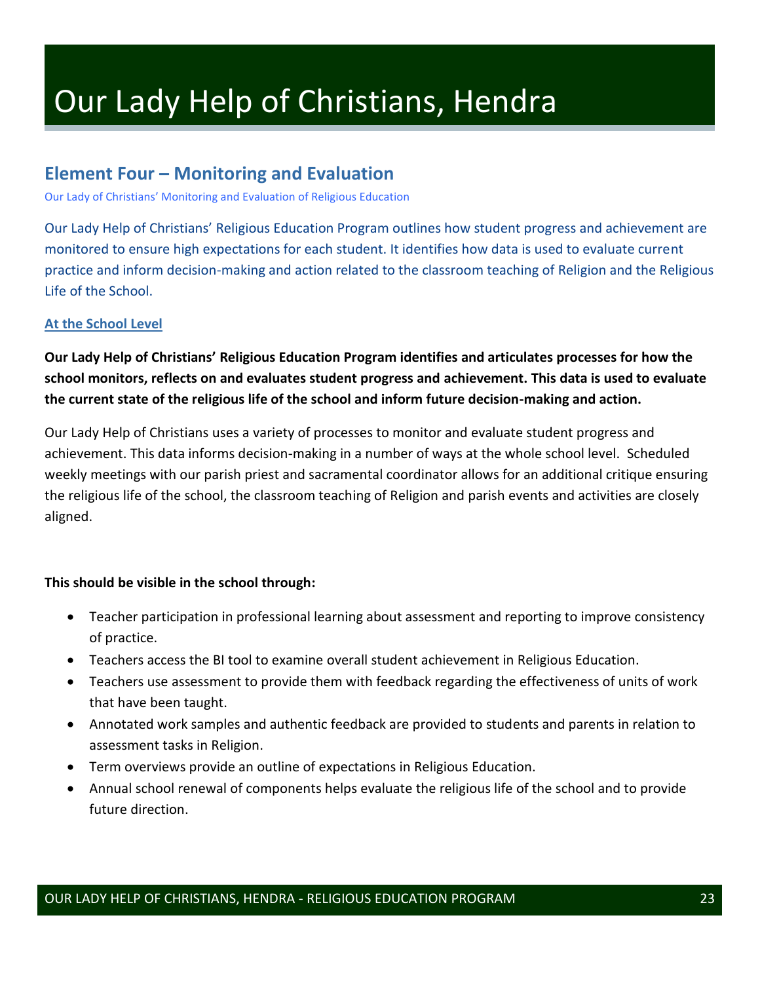### **Element Four – Monitoring and Evaluation**

Our Lady of Christians' Monitoring and Evaluation of Religious Education

Our Lady Help of Christians' Religious Education Program outlines how student progress and achievement are monitored to ensure high expectations for each student. It identifies how data is used to evaluate current practice and inform decision-making and action related to the classroom teaching of Religion and the Religious Life of the School.

### **At the School Level**

**Our Lady Help of Christians' Religious Education Program identifies and articulates processes for how the school monitors, reflects on and evaluates student progress and achievement. This data is used to evaluate the current state of the religious life of the school and inform future decision-making and action.**

Our Lady Help of Christians uses a variety of processes to monitor and evaluate student progress and achievement. This data informs decision-making in a number of ways at the whole school level. Scheduled weekly meetings with our parish priest and sacramental coordinator allows for an additional critique ensuring the religious life of the school, the classroom teaching of Religion and parish events and activities are closely aligned.

- Teacher participation in professional learning about assessment and reporting to improve consistency of practice.
- Teachers access the BI tool to examine overall student achievement in Religious Education.
- Teachers use assessment to provide them with feedback regarding the effectiveness of units of work that have been taught.
- Annotated work samples and authentic feedback are provided to students and parents in relation to assessment tasks in Religion.
- Term overviews provide an outline of expectations in Religious Education.
- Annual school renewal of components helps evaluate the religious life of the school and to provide future direction.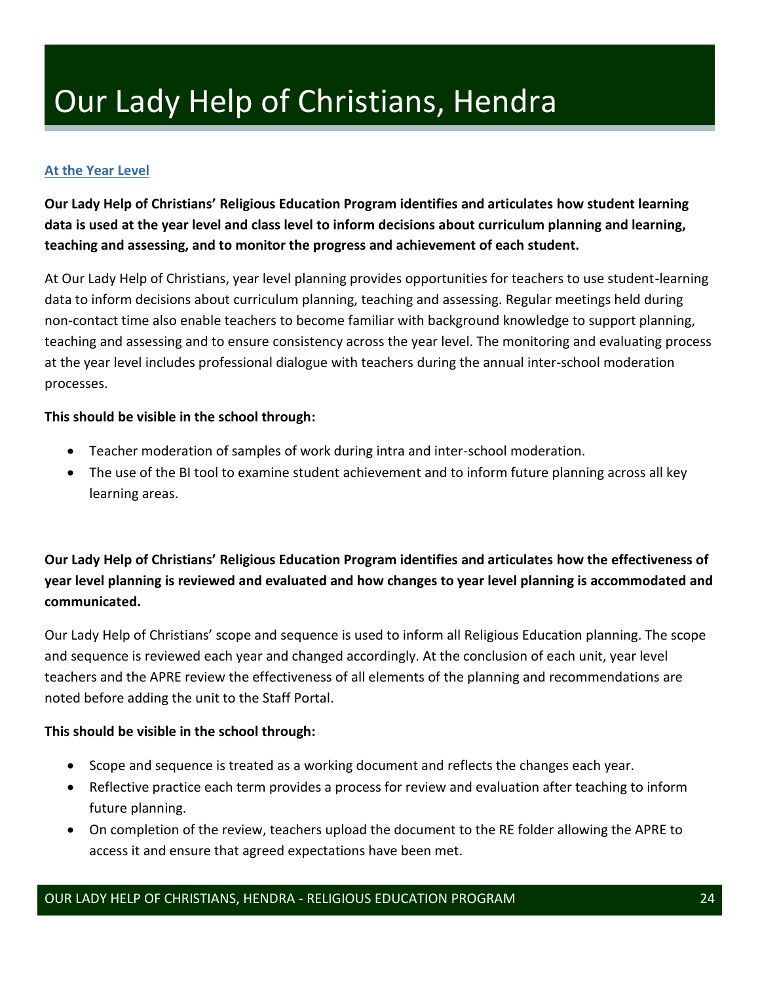### **At the Year Level**

**Our Lady Help of Christians' Religious Education Program identifies and articulates how student learning data is used at the year level and class level to inform decisions about curriculum planning and learning, teaching and assessing, and to monitor the progress and achievement of each student.**

At Our Lady Help of Christians, year level planning provides opportunities for teachers to use student-learning data to inform decisions about curriculum planning, teaching and assessing. Regular meetings held during non-contact time also enable teachers to become familiar with background knowledge to support planning, teaching and assessing and to ensure consistency across the year level. The monitoring and evaluating process at the year level includes professional dialogue with teachers during the annual inter-school moderation processes.

### **This should be visible in the school through:**

- Teacher moderation of samples of work during intra and inter-school moderation.
- The use of the BI tool to examine student achievement and to inform future planning across all key learning areas.

**Our Lady Help of Christians' Religious Education Program identifies and articulates how the effectiveness of year level planning is reviewed and evaluated and how changes to year level planning is accommodated and communicated.**

Our Lady Help of Christians' scope and sequence is used to inform all Religious Education planning. The scope and sequence is reviewed each year and changed accordingly. At the conclusion of each unit, year level teachers and the APRE review the effectiveness of all elements of the planning and recommendations are noted before adding the unit to the Staff Portal.

- Scope and sequence is treated as a working document and reflects the changes each year.
- Reflective practice each term provides a process for review and evaluation after teaching to inform future planning.
- On completion of the review, teachers upload the document to the RE folder allowing the APRE to access it and ensure that agreed expectations have been met.